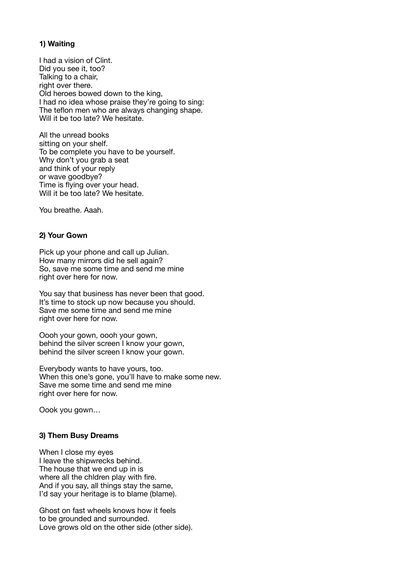## **1) Waiting**

I had a vision of Clint. Did you see it, too? Talking to a chair, right over there. Old heroes bowed down to the king, I had no idea whose praise they're going to sing: The teflon men who are always changing shape. Will it be too late? We hesitate.

All the unread books sitting on your shelf. To be complete you have to be yourself. Why don't you grab a seat and think of your reply or wave goodbye? Time is flying over your head. Will it be too late? We hesitate.

You breathe. Aaah.

### **2) Your Gown**

Pick up your phone and call up Julian. How many mirrors did he sell again? So, save me some time and send me mine right over here for now.

You say that business has never been that good. It's time to stock up now because you should. Save me some time and send me mine right over here for now.

Oooh your gown, oooh your gown, behind the silver screen I know your gown, behind the silver screen I know your gown.

Everybody wants to have yours, too. When this one's gone, you'll have to make some new. Save me some time and send me mine right over here for now.

Oook you gown…

#### **3) Them Busy Dreams**

When I close my eyes I leave the shipwrecks behind. The house that we end up in is where all the chidren play with fire. And if you say, all things stay the same, I'd say your heritage is to blame (blame).

Ghost on fast wheels knows how it feels to be grounded and surrounded. Love grows old on the other side (other side).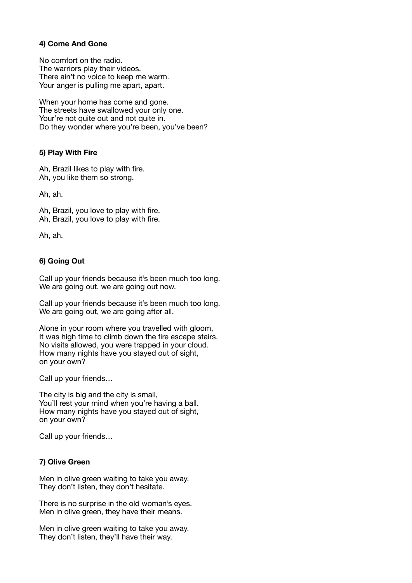#### **4) Come And Gone**

No comfort on the radio. The warriors play their videos. There ain't no voice to keep me warm. Your anger is pulling me apart, apart.

When your home has come and gone. The streets have swallowed your only one. Your're not quite out and not quite in. Do they wonder where you're been, you've been?

### **5) Play With Fire**

Ah, Brazil likes to play with fire. Ah, you like them so strong.

Ah, ah.

Ah, Brazil, you love to play with fire. Ah, Brazil, you love to play with fire.

Ah, ah.

# **6) Going Out**

Call up your friends because it's been much too long. We are going out, we are going out now.

Call up your friends because it's been much too long. We are going out, we are going after all.

Alone in your room where you travelled with gloom, It was high time to climb down the fire escape stairs. No visits allowed, you were trapped in your cloud. How many nights have you stayed out of sight, on your own?

Call up your friends…

The city is big and the city is small, You'll rest your mind when you're having a ball. How many nights have you stayed out of sight, on your own?

Call up your friends…

### **7) Olive Green**

Men in olive green waiting to take you away. They don't listen, they don't hesitate.

There is no surprise in the old woman's eyes. Men in olive green, they have their means.

Men in olive green waiting to take you away. They don't listen, they'll have their way.